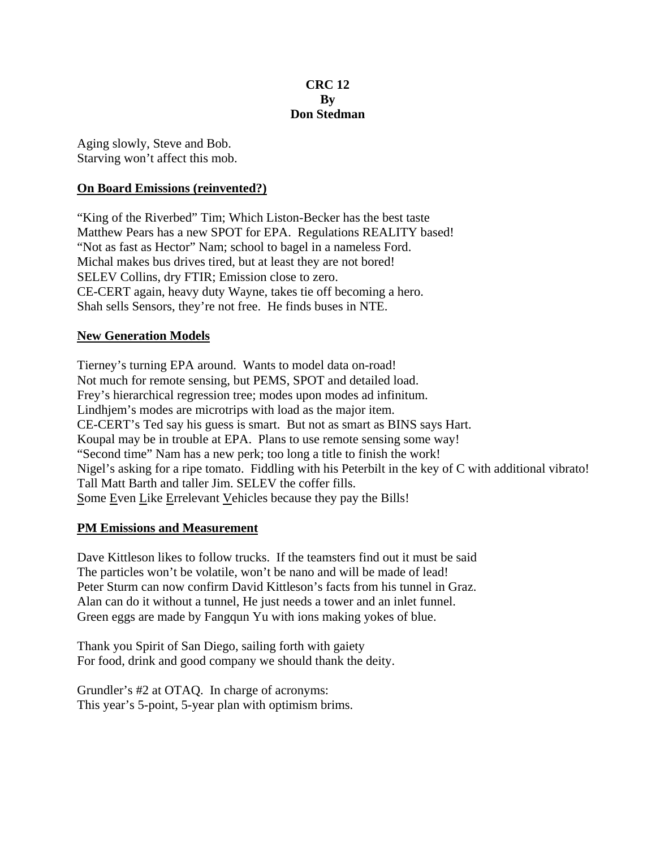#### **CRC 12 By Don Stedman**

Aging slowly, Steve and Bob. Starving won't affect this mob.

# **On Board Emissions (reinvented?)**

"King of the Riverbed" Tim; Which Liston-Becker has the best taste Matthew Pears has a new SPOT for EPA. Regulations REALITY based! "Not as fast as Hector" Nam; school to bagel in a nameless Ford. Michal makes bus drives tired, but at least they are not bored! SELEV Collins, dry FTIR; Emission close to zero. CE-CERT again, heavy duty Wayne, takes tie off becoming a hero. Shah sells Sensors, they're not free. He finds buses in NTE.

# **New Generation Models**

Tierney's turning EPA around. Wants to model data on-road! Not much for remote sensing, but PEMS, SPOT and detailed load. Frey's hierarchical regression tree; modes upon modes ad infinitum. Lindhjem's modes are microtrips with load as the major item. CE-CERT's Ted say his guess is smart. But not as smart as BINS says Hart. Koupal may be in trouble at EPA. Plans to use remote sensing some way! "Second time" Nam has a new perk; too long a title to finish the work! Nigel's asking for a ripe tomato. Fiddling with his Peterbilt in the key of C with additional vibrato! Tall Matt Barth and taller Jim. SELEV the coffer fills. Some Even Like Errelevant Vehicles because they pay the Bills!

# **PM Emissions and Measurement**

Dave Kittleson likes to follow trucks. If the teamsters find out it must be said The particles won't be volatile, won't be nano and will be made of lead! Peter Sturm can now confirm David Kittleson's facts from his tunnel in Graz. Alan can do it without a tunnel, He just needs a tower and an inlet funnel. Green eggs are made by Fangqun Yu with ions making yokes of blue.

Thank you Spirit of San Diego, sailing forth with gaiety For food, drink and good company we should thank the deity.

Grundler's #2 at OTAQ. In charge of acronyms: This year's 5-point, 5-year plan with optimism brims.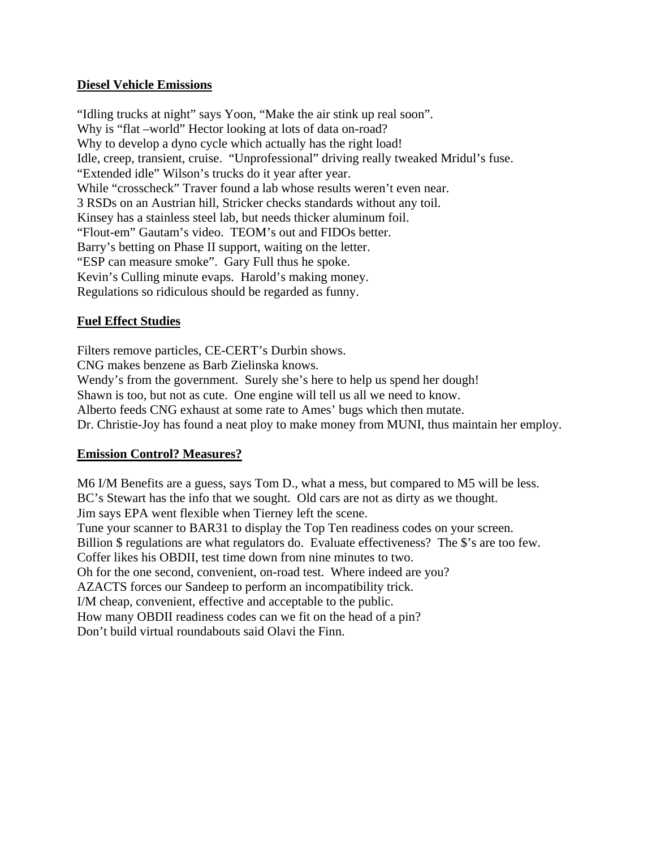### **Diesel Vehicle Emissions**

"Idling trucks at night" says Yoon, "Make the air stink up real soon". Why is "flat –world" Hector looking at lots of data on-road? Why to develop a dyno cycle which actually has the right load! Idle, creep, transient, cruise. "Unprofessional" driving really tweaked Mridul's fuse. "Extended idle" Wilson's trucks do it year after year. While "crosscheck" Traver found a lab whose results weren't even near. 3 RSDs on an Austrian hill, Stricker checks standards without any toil. Kinsey has a stainless steel lab, but needs thicker aluminum foil. "Flout-em" Gautam's video. TEOM's out and FIDOs better. Barry's betting on Phase II support, waiting on the letter. "ESP can measure smoke". Gary Full thus he spoke. Kevin's Culling minute evaps. Harold's making money. Regulations so ridiculous should be regarded as funny.

# **Fuel Effect Studies**

Filters remove particles, CE-CERT's Durbin shows. CNG makes benzene as Barb Zielinska knows. Wendy's from the government. Surely she's here to help us spend her dough! Shawn is too, but not as cute. One engine will tell us all we need to know. Alberto feeds CNG exhaust at some rate to Ames' bugs which then mutate. Dr. Christie-Joy has found a neat ploy to make money from MUNI, thus maintain her employ.

# **Emission Control? Measures?**

M6 I/M Benefits are a guess, says Tom D., what a mess, but compared to M5 will be less. BC's Stewart has the info that we sought. Old cars are not as dirty as we thought. Jim says EPA went flexible when Tierney left the scene. Tune your scanner to BAR31 to display the Top Ten readiness codes on your screen. Billion \$ regulations are what regulators do. Evaluate effectiveness? The \$'s are too few. Coffer likes his OBDII, test time down from nine minutes to two. Oh for the one second, convenient, on-road test. Where indeed are you? AZACTS forces our Sandeep to perform an incompatibility trick. I/M cheap, convenient, effective and acceptable to the public. How many OBDII readiness codes can we fit on the head of a pin? Don't build virtual roundabouts said Olavi the Finn.